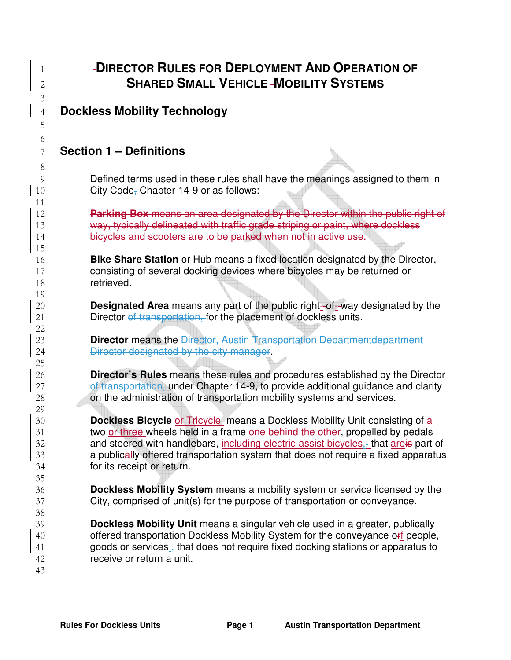| 1                   | -DIRECTOR RULES FOR DEPLOYMENT AND OPERATION OF<br><b>SHARED SMALL VEHICLE -MOBILITY SYSTEMS</b>                                                                          |
|---------------------|---------------------------------------------------------------------------------------------------------------------------------------------------------------------------|
| $\overline{2}$<br>3 |                                                                                                                                                                           |
| $\overline{4}$      | <b>Dockless Mobility Technology</b>                                                                                                                                       |
| 5                   |                                                                                                                                                                           |
| 6                   |                                                                                                                                                                           |
| 7                   | <b>Section 1 - Definitions</b>                                                                                                                                            |
| 8                   |                                                                                                                                                                           |
| 9                   | Defined terms used in these rules shall have the meanings assigned to them in                                                                                             |
| 10                  | City Code, Chapter 14-9 or as follows:                                                                                                                                    |
| 11                  |                                                                                                                                                                           |
| 12                  | Parking Box means an area designated by the Director within the public right of                                                                                           |
| 13                  | way, typically delineated with traffic grade striping or paint, where dockless                                                                                            |
| 14<br>15            | bicycles and scooters are to be parked when not in active use.                                                                                                            |
| 16                  | <b>Bike Share Station</b> or Hub means a fixed location designated by the Director,                                                                                       |
| 17                  | consisting of several docking devices where bicycles may be returned or                                                                                                   |
| 18                  | retrieved.                                                                                                                                                                |
| 19                  |                                                                                                                                                                           |
| 20<br>21            | <b>Designated Area</b> means any part of the public right-of-way designated by the<br>Director of transportation, for the placement of dockless units.                    |
| 22                  |                                                                                                                                                                           |
| 23                  | <b>Director</b> means the Director, Austin Transportation Departmentdepartment                                                                                            |
| 24                  | Director designated by the city manager.                                                                                                                                  |
| 25                  |                                                                                                                                                                           |
| 26                  | <b>Director's Rules</b> means these rules and procedures established by the Director<br>of transportation, under Chapter 14-9, to provide additional guidance and clarity |
| 27<br>28            | on the administration of transportation mobility systems and services.                                                                                                    |
| 29                  |                                                                                                                                                                           |
| 30                  | <b>Dockless Bicycle or Tricycle-means a Dockless Mobility Unit consisting of a</b>                                                                                        |
| 31                  | two or three wheels held in a frame-one behind the other, propelled by pedals                                                                                             |
| 32                  | and steered with handlebars, including electric-assist bicycles, that are is part of                                                                                      |
| 33<br>34            | a publically offered transportation system that does not require a fixed apparatus<br>for its receipt or return.                                                          |
| 35                  |                                                                                                                                                                           |
| 36                  | Dockless Mobility System means a mobility system or service licensed by the                                                                                               |
| 37                  | City, comprised of unit(s) for the purpose of transportation or conveyance.                                                                                               |
| 38                  |                                                                                                                                                                           |
| 39<br>40            | <b>Dockless Mobility Unit</b> means a singular vehicle used in a greater, publically<br>offered transportation Dockless Mobility System for the conveyance of people,     |
| 41                  | goods or services that does not require fixed docking stations or apparatus to                                                                                            |
| 42                  | receive or return a unit.                                                                                                                                                 |
| 43                  |                                                                                                                                                                           |
|                     |                                                                                                                                                                           |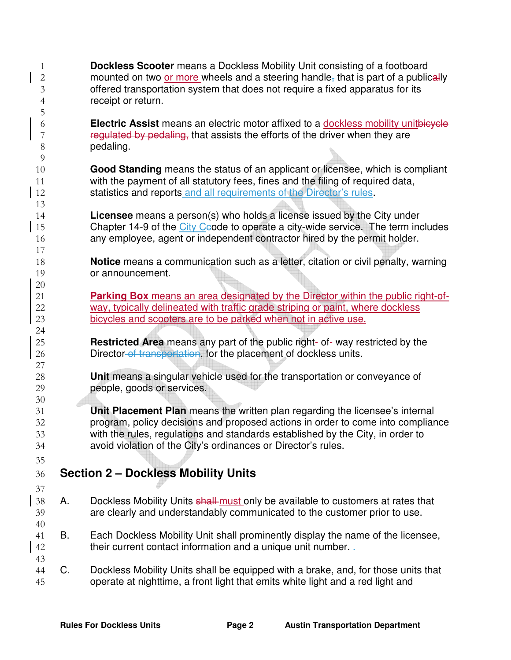**Dockless Scooter** means a Dockless Mobility Unit consisting of a footboard 2 mounted on two or more wheels and a steering handle, that is part of a publically offered transportation system that does not require a fixed apparatus for its receipt or return. **Electric Assist** means an electric motor affixed to a dockless mobility unitbicycle 7 regulated by pedaling, that assists the efforts of the driver when they are pedaling. **Good Standing** means the status of an applicant or licensee, which is compliant with the payment of all statutory fees, fines and the filing of required data, 12 statistics and reports and all requirements of the Director's rules. **Licensee** means a person(s) who holds a license issued by the City under 15 Chapter 14-9 of the City Ceode to operate a city-wide service. The term includes any employee, agent or independent contractor hired by the permit holder. **Notice** means a communication such as a letter, citation or civil penalty, warning or announcement. **Parking Box** means an area designated by the Director within the public right-of-way, typically delineated with traffic grade striping or paint, where dockless bicycles and scooters are to be parked when not in active use. **Restricted Area** means any part of the public right- of- way restricted by the 26 Director of transportation, for the placement of dockless units. **Unit** means a singular vehicle used for the transportation or conveyance of people, goods or services. **Unit Placement Plan** means the written plan regarding the licensee's internal program, policy decisions and proposed actions in order to come into compliance with the rules, regulations and standards established by the City, in order to avoid violation of the City's ordinances or Director's rules. **Section 2 – Dockless Mobility Units**  38 A. Dockless Mobility Units shall must only be available to customers at rates that are clearly and understandably communicated to the customer prior to use. B. Each Dockless Mobility Unit shall prominently display the name of the licensee, 42 their current contact information and a unique unit number. C. Dockless Mobility Units shall be equipped with a brake, and, for those units that operate at nighttime, a front light that emits white light and a red light and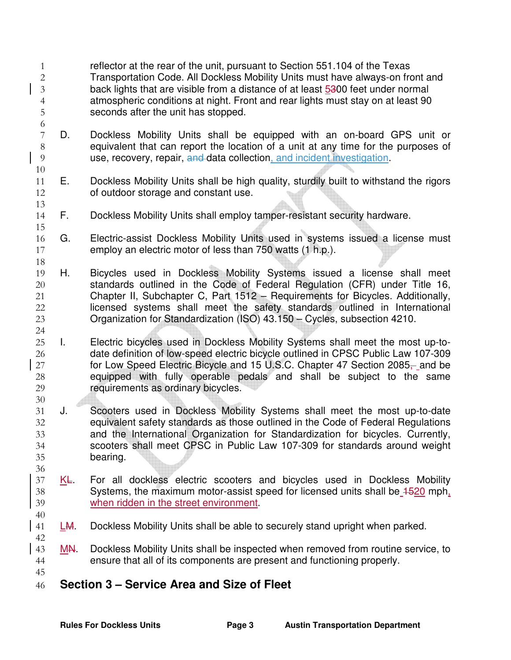- reflector at the rear of the unit, pursuant to Section 551.104 of the Texas Transportation Code. All Dockless Mobility Units must have always-on front and back lights that are visible from a distance of at least 5300 feet under normal atmospheric conditions at night. Front and rear lights must stay on at least 90 seconds after the unit has stopped.
- D. Dockless Mobility Units shall be equipped with an on-board GPS unit or equivalent that can report the location of a unit at any time for the purposes of use, recovery, repair, and data collection, and incident investigation.
- E. Dockless Mobility Units shall be high quality, sturdily built to withstand the rigors of outdoor storage and constant use.
- F. Dockless Mobility Units shall employ tamper-resistant security hardware.
- G. Electric-assist Dockless Mobility Units used in systems issued a license must employ an electric motor of less than 750 watts (1 h.p.).
- H. Bicycles used in Dockless Mobility Systems issued a license shall meet standards outlined in the Code of Federal Regulation (CFR) under Title 16, Chapter II, Subchapter C, Part 1512 – Requirements for Bicycles. Additionally, licensed systems shall meet the safety standards outlined in International Organization for Standardization (ISO) 43.150 – Cycles, subsection 4210.
- I. Electric bicycles used in Dockless Mobility Systems shall meet the most up-to-date definition of low-speed electric bicycle outlined in CPSC Public Law 107-309 27 for Low Speed Electric Bicycle and 15 U.S.C. Chapter 47 Section 2085, and be equipped with fully operable pedals and shall be subject to the same requirements as ordinary bicycles.
- J. Scooters used in Dockless Mobility Systems shall meet the most up-to-date equivalent safety standards as those outlined in the Code of Federal Regulations and the International Organization for Standardization for bicycles. Currently, scooters shall meet CPSC in Public Law 107-309 for standards around weight bearing.
- 37 KE. For all dockless electric scooters and bicycles used in Dockless Mobility Systems, the maximum motor-assist speed for licensed units shall be 1520 mph, when ridden in the street environment.
- LM. Dockless Mobility Units shall be able to securely stand upright when parked.
- 43 MN. Dockless Mobility Units shall be inspected when removed from routine service, to ensure that all of its components are present and functioning properly.
- **Section 3 Service Area and Size of Fleet**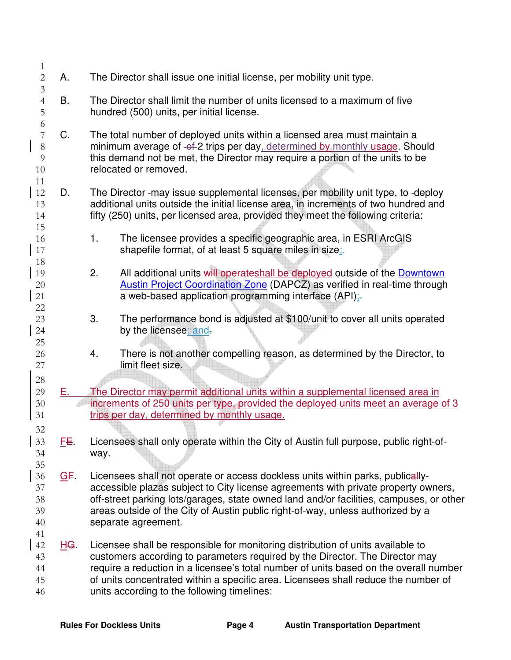| $\mathbf{1}$                                               |            |                                                                                                                                                                                                                                                                                                                                                                                               |
|------------------------------------------------------------|------------|-----------------------------------------------------------------------------------------------------------------------------------------------------------------------------------------------------------------------------------------------------------------------------------------------------------------------------------------------------------------------------------------------|
| $\overline{2}$<br>$\mathfrak 3$                            | Α.         | The Director shall issue one initial license, per mobility unit type.                                                                                                                                                                                                                                                                                                                         |
| $\overline{4}$<br>$\overline{5}$                           | В.         | The Director shall limit the number of units licensed to a maximum of five<br>hundred (500) units, per initial license.                                                                                                                                                                                                                                                                       |
| 6<br>$\overline{7}$<br>$8\,$<br>$\overline{9}$<br>10<br>11 | C.         | The total number of deployed units within a licensed area must maintain a<br>minimum average of -of-2 trips per day, determined by monthly usage. Should<br>this demand not be met, the Director may require a portion of the units to be<br>relocated or removed.                                                                                                                            |
| 12<br>13<br>14<br>15                                       | D.         | The Director-may issue supplemental licenses, per mobility unit type, to -deploy<br>additional units outside the initial license area, in increments of two hundred and<br>fifty (250) units, per licensed area, provided they meet the following criteria:                                                                                                                                   |
| 16<br>17<br>18                                             |            | 1.<br>The licensee provides a specific geographic area, in ESRI ArcGIS<br>shapefile format, of at least 5 square miles in size;-                                                                                                                                                                                                                                                              |
| 19<br>20<br>21<br>22                                       |            | All additional units will operateshall be deployed outside of the Downtown<br>2.<br><b>Austin Project Coordination Zone (DAPCZ) as verified in real-time through</b><br>a web-based application programming interface (API);                                                                                                                                                                  |
| 23<br>24<br>25                                             |            | The performance bond is adjusted at \$100/unit to cover all units operated<br>3.<br>by the licensee; and-                                                                                                                                                                                                                                                                                     |
| 26<br>27                                                   |            | There is not another compelling reason, as determined by the Director, to<br>4.<br>limit fleet size.                                                                                                                                                                                                                                                                                          |
| 28<br>29<br>30<br>31                                       | Е.         | The Director may permit additional units within a supplemental licensed area in<br>increments of 250 units per type, provided the deployed units meet an average of 3<br>trips per day, determined by monthly usage.                                                                                                                                                                          |
| 32<br>33<br>34<br>35                                       | EE.        | Licensees shall only operate within the City of Austin full purpose, public right-of-<br>way.                                                                                                                                                                                                                                                                                                 |
| 36<br>37<br>38<br>39<br>40<br>41                           | GF.        | Licensees shall not operate or access dockless units within parks, publically-<br>accessible plazas subject to City license agreements with private property owners,<br>off-street parking lots/garages, state owned land and/or facilities, campuses, or other<br>areas outside of the City of Austin public right-of-way, unless authorized by a<br>separate agreement.                     |
| 42<br>43<br>44<br>45<br>46                                 | <u>HG.</u> | Licensee shall be responsible for monitoring distribution of units available to<br>customers according to parameters required by the Director. The Director may<br>require a reduction in a licensee's total number of units based on the overall number<br>of units concentrated within a specific area. Licensees shall reduce the number of<br>units according to the following timelines: |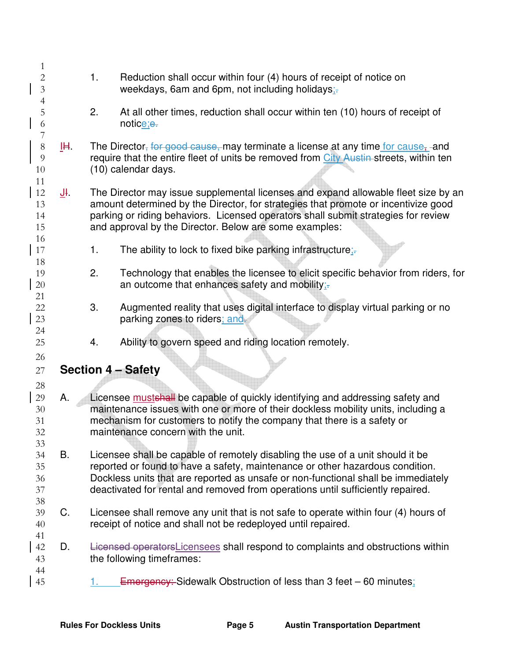| 1                          |             |    |                                                                                                                                                                                                                                                                                                                          |
|----------------------------|-------------|----|--------------------------------------------------------------------------------------------------------------------------------------------------------------------------------------------------------------------------------------------------------------------------------------------------------------------------|
| $\overline{c}$             |             | 1. | Reduction shall occur within four (4) hours of receipt of notice on                                                                                                                                                                                                                                                      |
| $\mathfrak{Z}$             |             |    | weekdays, 6am and 6pm, not including holidays;-                                                                                                                                                                                                                                                                          |
| $\overline{4}$<br>5        |             | 2. | At all other times, reduction shall occur within ten (10) hours of receipt of                                                                                                                                                                                                                                            |
| 6                          |             |    | notice;e.                                                                                                                                                                                                                                                                                                                |
| $\overline{7}$<br>$8\,$    | IH.         |    | The Director, for good cause, may terminate a license at any time for cause, and                                                                                                                                                                                                                                         |
| $\overline{9}$<br>10       |             |    | require that the entire fleet of units be removed from City Austin streets, within ten<br>(10) calendar days.                                                                                                                                                                                                            |
| 11<br>12<br>13<br>14<br>15 | <u>J</u> I. |    | The Director may issue supplemental licenses and expand allowable fleet size by an<br>amount determined by the Director, for strategies that promote or incentivize good<br>parking or riding behaviors. Licensed operators shall submit strategies for review<br>and approval by the Director. Below are some examples: |
| 16<br>17                   |             | 1. | The ability to lock to fixed bike parking infrastructure;-                                                                                                                                                                                                                                                               |
| 18<br>19<br>20<br>21       |             | 2. | Technology that enables the licensee to elicit specific behavior from riders, for<br>an outcome that enhances safety and mobility;-                                                                                                                                                                                      |
| 22<br>23<br>24             |             | 3. | Augmented reality that uses digital interface to display virtual parking or no<br>parking zones to riders; and-                                                                                                                                                                                                          |
| 25                         |             | 4. | Ability to govern speed and riding location remotely.                                                                                                                                                                                                                                                                    |
| 26<br>27                   |             |    | <b>Section 4 - Safety</b>                                                                                                                                                                                                                                                                                                |
| 28                         |             |    |                                                                                                                                                                                                                                                                                                                          |
| 29<br>30<br>31<br>32       | Α.          |    | Licensee mustshall be capable of quickly identifying and addressing safety and<br>maintenance issues with one or more of their dockless mobility units, including a<br>mechanism for customers to notify the company that there is a safety or<br>maintenance concern with the unit.                                     |
| 33                         | <b>B.</b>   |    |                                                                                                                                                                                                                                                                                                                          |
| 34<br>35                   |             |    | Licensee shall be capable of remotely disabling the use of a unit should it be<br>reported or found to have a safety, maintenance or other hazardous condition.                                                                                                                                                          |
| 36                         |             |    | Dockless units that are reported as unsafe or non-functional shall be immediately                                                                                                                                                                                                                                        |
| 37                         |             |    | deactivated for rental and removed from operations until sufficiently repaired.                                                                                                                                                                                                                                          |
| 38<br>39<br>40             | C.          |    | Licensee shall remove any unit that is not safe to operate within four (4) hours of<br>receipt of notice and shall not be redeployed until repaired.                                                                                                                                                                     |
| 41                         |             |    |                                                                                                                                                                                                                                                                                                                          |
| 42<br>43                   | D.          |    | Licensed operators Licensees shall respond to complaints and obstructions within<br>the following timeframes:                                                                                                                                                                                                            |
| 44<br>45                   |             | 1. | <b>Emergency:</b> Sidewalk Obstruction of less than 3 feet – 60 minutes;                                                                                                                                                                                                                                                 |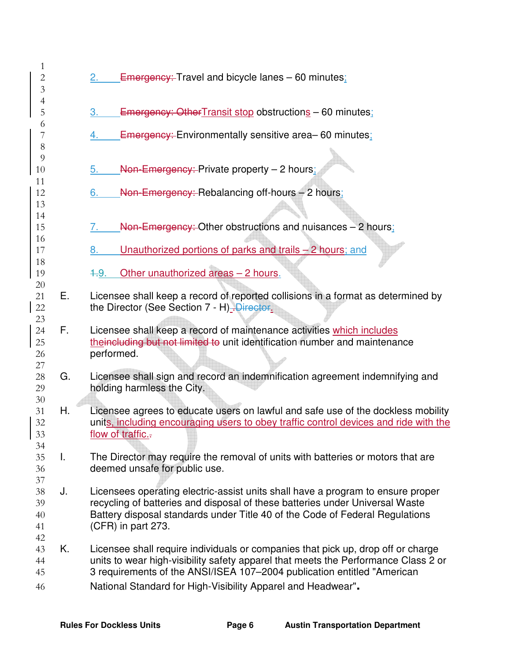| 1<br>$\overline{c}$<br>$\mathfrak{Z}$ |    | <b>Emergency: Travel and bicycle lanes - 60 minutes:</b>                                                                                                                                                                                                                                                          |
|---------------------------------------|----|-------------------------------------------------------------------------------------------------------------------------------------------------------------------------------------------------------------------------------------------------------------------------------------------------------------------|
| $\overline{4}$<br>5                   |    | <b>Emergency: Other Transit stop obstructions - 60 minutes;</b><br>3.                                                                                                                                                                                                                                             |
| 6<br>7<br>$8\,$                       |    | <b>Emergency:</b> Environmentally sensitive area–60 minutes;<br>4.                                                                                                                                                                                                                                                |
| 9<br>10<br>11                         |    | Non-Emergency: Private property - 2 hours;<br>5.                                                                                                                                                                                                                                                                  |
| 12<br>13                              |    | Non-Emergency: Rebalancing off-hours - 2 hours;<br>6.                                                                                                                                                                                                                                                             |
| 14<br>15                              |    | Non-Emergency: Other obstructions and nuisances - 2 hours:<br>$\sqrt{ }$                                                                                                                                                                                                                                          |
| 16<br>17<br>18                        |    | Unauthorized portions of parks and trails $-2$ hours; and<br>8.                                                                                                                                                                                                                                                   |
| 19<br>20                              |    | Other unauthorized areas - 2 hours.<br>4.9.                                                                                                                                                                                                                                                                       |
| 21<br>22<br>23                        | Е. | Licensee shall keep a record of reported collisions in a format as determined by<br>the Director (See Section 7 - H)-Director.                                                                                                                                                                                    |
| 24<br>25<br>26<br>27                  | F. | Licensee shall keep a record of maintenance activities which includes<br>theincluding but not limited to unit identification number and maintenance<br>performed.                                                                                                                                                 |
| 28<br>29                              | G. | Licensee shall sign and record an indemnification agreement indemnifying and<br>holding harmless the City.                                                                                                                                                                                                        |
| 30<br>31<br>32<br>33<br>34            | Η. | Licensee agrees to educate users on lawful and safe use of the dockless mobility<br>units, including encouraging users to obey traffic control devices and ride with the<br>flow of traffic.-                                                                                                                     |
| 35<br>36<br>37                        | T. | The Director may require the removal of units with batteries or motors that are<br>deemed unsafe for public use.                                                                                                                                                                                                  |
| 38<br>39<br>40<br>41<br>42            | J. | Licensees operating electric-assist units shall have a program to ensure proper<br>recycling of batteries and disposal of these batteries under Universal Waste<br>Battery disposal standards under Title 40 of the Code of Federal Regulations<br>(CFR) in part 273.                                             |
| 43<br>44<br>45<br>46                  | Κ. | Licensee shall require individuals or companies that pick up, drop off or charge<br>units to wear high-visibility safety apparel that meets the Performance Class 2 or<br>3 requirements of the ANSI/ISEA 107-2004 publication entitled "American<br>National Standard for High-Visibility Apparel and Headwear". |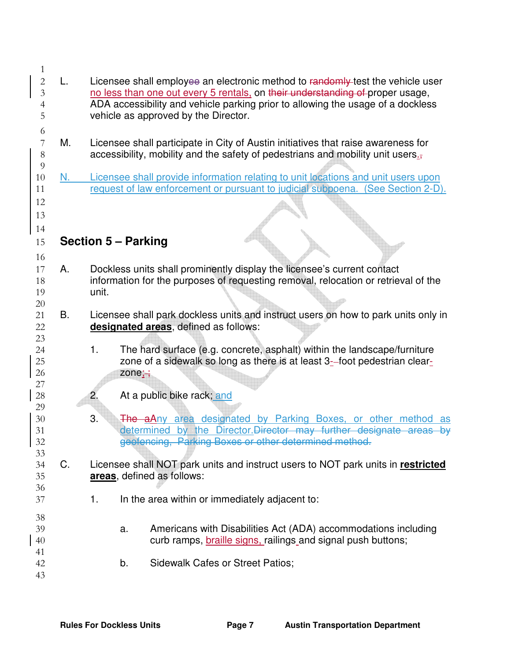| 1              |    |                                                                                    |
|----------------|----|------------------------------------------------------------------------------------|
| $\overline{c}$ | L. | Licensee shall employee an electronic method to randomly test the vehicle user     |
| $\mathfrak{Z}$ |    | no less than one out every 5 rentals, on their understanding of proper usage,      |
|                |    | ADA accessibility and vehicle parking prior to allowing the usage of a dockless    |
| 4              |    |                                                                                    |
| 5              |    | vehicle as approved by the Director.                                               |
| 6              |    |                                                                                    |
| 7              | М. | Licensee shall participate in City of Austin initiatives that raise awareness for  |
| $8\,$          |    | accessibility, mobility and the safety of pedestrians and mobility unit users.     |
| $\overline{9}$ |    |                                                                                    |
| 10             | N. | Licensee shall provide information relating to unit locations and unit users upon  |
|                |    |                                                                                    |
| 11             |    | request of law enforcement or pursuant to judicial subpoena. (See Section 2-D).    |
| 12             |    |                                                                                    |
| 13             |    |                                                                                    |
| 14             |    |                                                                                    |
|                |    |                                                                                    |
| 15             |    | <b>Section 5 – Parking</b>                                                         |
| 16             |    |                                                                                    |
| 17             | Α. | Dockless units shall prominently display the licensee's current contact            |
| 18             |    | information for the purposes of requesting removal, relocation or retrieval of the |
|                |    |                                                                                    |
| 19             |    | unit.                                                                              |
| 20             |    |                                                                                    |
| 21             | B. | Licensee shall park dockless units and instruct users on how to park units only in |
| 22             |    | designated areas, defined as follows:                                              |
| 23             |    |                                                                                    |
| 24             |    | The hard surface (e.g. concrete, asphalt) within the landscape/furniture<br>1.     |
| 25             |    | zone of a sidewalk so long as there is at least 3-foot pedestrian clear-           |
| 26             |    | zone $\div$                                                                        |
| 27             |    |                                                                                    |
|                |    |                                                                                    |
| 28             |    | At a public bike rack; and<br>2.                                                   |
| 29             |    |                                                                                    |
| 30             |    | 3.<br>The aAny area designated by Parking Boxes, or other method as                |
| 31             |    | determined by the Director. Director may further designate areas by                |
| 32             |    | geofencing, Parking Boxes or other determined method.                              |
| 33             |    |                                                                                    |
| 34             | C. | Licensee shall NOT park units and instruct users to NOT park units in restricted   |
| 35             |    | areas, defined as follows:                                                         |
| 36             |    |                                                                                    |
|                |    |                                                                                    |
| 37             |    | In the area within or immediately adjacent to:<br>1.                               |
| 38             |    |                                                                                    |
| 39             |    | Americans with Disabilities Act (ADA) accommodations including<br>a.               |
|                |    | curb ramps, <b>braille signs</b> , railings and signal push buttons;               |
| 40             |    |                                                                                    |
| 41             |    |                                                                                    |
| 42             |    | <b>Sidewalk Cafes or Street Patios;</b><br>b.                                      |
| 43             |    |                                                                                    |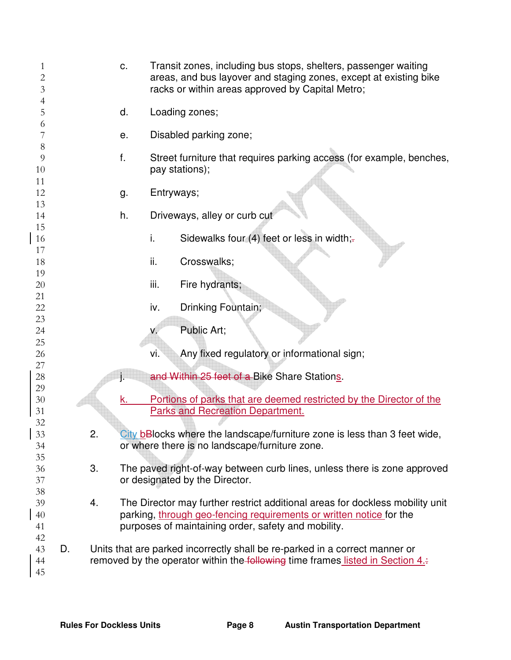| 1<br>$\overline{c}$<br>3 |    | C.               | Transit zones, including bus stops, shelters, passenger waiting<br>areas, and bus layover and staging zones, except at existing bike<br>racks or within areas approved by Capital Metro; |
|--------------------------|----|------------------|------------------------------------------------------------------------------------------------------------------------------------------------------------------------------------------|
| 4<br>5                   |    | d.               | Loading zones;                                                                                                                                                                           |
| 6<br>7                   |    | е.               | Disabled parking zone;                                                                                                                                                                   |
| 8<br>9                   | f. |                  | Street furniture that requires parking access (for example, benches,                                                                                                                     |
| 10                       |    |                  | pay stations);                                                                                                                                                                           |
| 11<br>12                 |    | Entryways;<br>g. |                                                                                                                                                                                          |
| 13                       |    |                  |                                                                                                                                                                                          |
| 14                       |    | h.               | Driveways, alley or curb cut                                                                                                                                                             |
| 15<br>16                 |    | i.               | Sidewalks four (4) feet or less in width;-                                                                                                                                               |
| 17                       |    |                  |                                                                                                                                                                                          |
| 18                       |    | ii.              | Crosswalks;                                                                                                                                                                              |
| 19<br>20                 |    | iii.             | Fire hydrants;                                                                                                                                                                           |
| 21                       |    |                  |                                                                                                                                                                                          |
| 22                       |    | iv.              | Drinking Fountain;                                                                                                                                                                       |
| 23<br>24                 |    | $V_{\rm c}$      | Public Art;                                                                                                                                                                              |
| 25                       |    |                  |                                                                                                                                                                                          |
| 26<br>27                 |    | vi.              | Any fixed regulatory or informational sign;                                                                                                                                              |
| 28                       | j. |                  | and Within 25 feet of a Bike Share Stations.                                                                                                                                             |
| 29<br>30                 |    | k.               | Portions of parks that are deemed restricted by the Director of the                                                                                                                      |
| 31                       |    |                  | <b>Parks and Recreation Department.</b>                                                                                                                                                  |
| 32                       |    |                  |                                                                                                                                                                                          |
| 33<br>34                 | ۷. |                  | City bBlocks where the landscape/furniture zone is less than 3 feet wide,<br>or where there is no landscape/furniture zone.                                                              |
| 35                       |    |                  |                                                                                                                                                                                          |
| 36                       | 3. |                  | The paved right-of-way between curb lines, unless there is zone approved                                                                                                                 |
| 37<br>38                 |    |                  | or designated by the Director.                                                                                                                                                           |
| 39                       | 4. |                  | The Director may further restrict additional areas for dockless mobility unit                                                                                                            |
| 40                       |    |                  | parking, through geo-fencing requirements or written notice for the                                                                                                                      |
| 41<br>42                 |    |                  | purposes of maintaining order, safety and mobility.                                                                                                                                      |
| 43                       | D. |                  | Units that are parked incorrectly shall be re-parked in a correct manner or                                                                                                              |
| 44<br>45                 |    |                  | removed by the operator within the following time frames listed in Section 4.                                                                                                            |
|                          |    |                  |                                                                                                                                                                                          |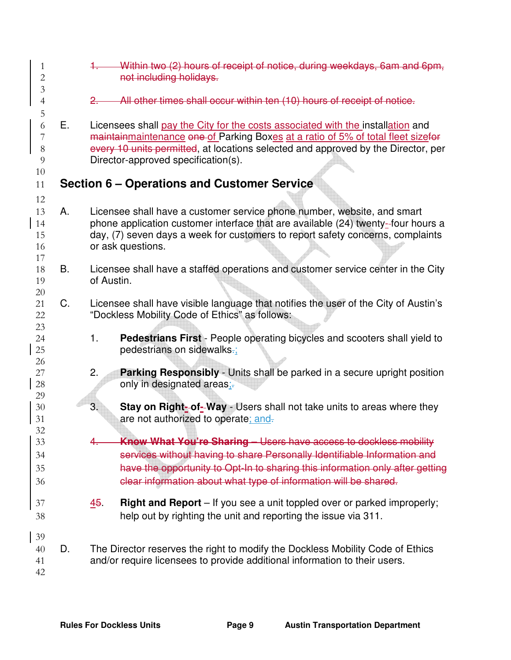| 1<br>$\overline{2}$<br>$\mathfrak{Z}$ |    | Within two (2) hours of receipt of notice, during weekdays, 6am and 6pm,<br>not including holidays.                                                                                                                                                                                                       |  |  |  |
|---------------------------------------|----|-----------------------------------------------------------------------------------------------------------------------------------------------------------------------------------------------------------------------------------------------------------------------------------------------------------|--|--|--|
| 4                                     |    | All other times shall occur within ten (10) hours of receipt of notice.<br>2.                                                                                                                                                                                                                             |  |  |  |
| 5<br>6<br>7<br>$8\,$<br>9<br>10       | Е. | Licensees shall pay the City for the costs associated with the installation and<br>maintainmaintenance one of Parking Boxes at a ratio of 5% of total fleet sizefor<br>every 10 units permitted, at locations selected and approved by the Director, per<br>Director-approved specification(s).           |  |  |  |
| 11                                    |    | Section 6 – Operations and Customer Service                                                                                                                                                                                                                                                               |  |  |  |
| 12<br>13<br>14<br>15<br>16<br>17      | А. | Licensee shall have a customer service phone number, website, and smart<br>phone application customer interface that are available (24) twenty-four hours a<br>day, (7) seven days a week for customers to report safety concerns, complaints<br>or ask questions.                                        |  |  |  |
| 18<br>19<br>20                        | В. | Licensee shall have a staffed operations and customer service center in the City<br>of Austin.                                                                                                                                                                                                            |  |  |  |
| 21<br>22<br>23                        | C. | Licensee shall have visible language that notifies the user of the City of Austin's<br>"Dockless Mobility Code of Ethics" as follows:                                                                                                                                                                     |  |  |  |
| 24<br>25<br>26                        |    | 1.<br><b>Pedestrians First</b> - People operating bicycles and scooters shall yield to<br>pedestrians on sidewalks-;                                                                                                                                                                                      |  |  |  |
| 27<br>28<br>29                        |    | 2.<br><b>Parking Responsibly</b> - Units shall be parked in a secure upright position<br>only in designated areas.-                                                                                                                                                                                       |  |  |  |
| $30\,$<br>31<br>32                    |    | 3.<br>Stay on Right-of-Way - Users shall not take units to areas where they<br>are not authorized to operate; and-                                                                                                                                                                                        |  |  |  |
| 33<br>34<br>35<br>36                  |    | <b>Know What You're Sharing - Users have access to dockless mobility</b><br>services without having to share Personally Identifiable Information and<br>have the opportunity to Opt-In to sharing this information only after getting<br>clear information about what type of information will be shared. |  |  |  |
| 37<br>38                              |    | 45.<br><b>Right and Report</b> – If you see a unit toppled over or parked improperly;<br>help out by righting the unit and reporting the issue via 311.                                                                                                                                                   |  |  |  |
| 39<br>40<br>41<br>42                  | D. | The Director reserves the right to modify the Dockless Mobility Code of Ethics<br>and/or require licensees to provide additional information to their users.                                                                                                                                              |  |  |  |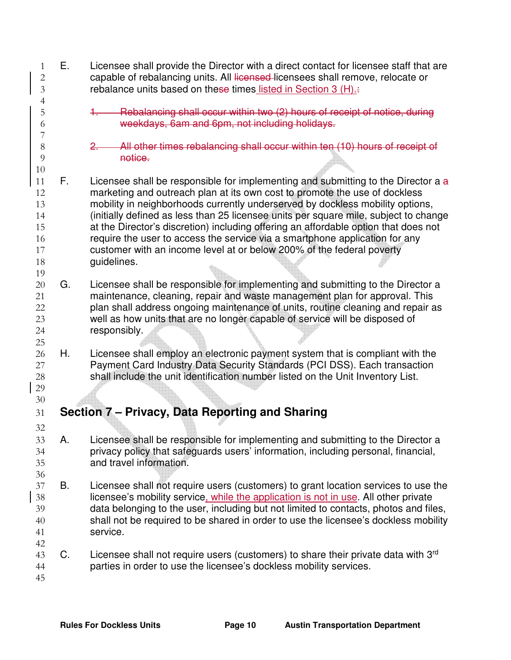E. Licensee shall provide the Director with a direct contact for licensee staff that are 2 capable of rebalancing units. All licensed licensees shall remove, relocate or rebalance units based on these times listed in Section 3 (H).: 1. Rebalancing shall occur within two (2) hours of receipt of notice, during weekdays, 6am and 6pm, not including holidays. 2. All other times rebalancing shall occur within ten (10) hours of receipt of **notice.**   $\,$  F. Licensee shall be responsible for implementing and submitting to the Director a  $\,$ a marketing and outreach plan at its own cost to promote the use of dockless mobility in neighborhoods currently underserved by dockless mobility options, (initially defined as less than 25 licensee units per square mile, subject to change at the Director's discretion) including offering an affordable option that does not require the user to access the service via a smartphone application for any customer with an income level at or below 200% of the federal poverty **guidelines**. 20 G. Licensee shall be responsible for implementing and submitting to the Director a maintenance, cleaning, repair and waste management plan for approval. This plan shall address ongoing maintenance of units, routine cleaning and repair as well as how units that are no longer capable of service will be disposed of responsibly. H. Licensee shall employ an electronic payment system that is compliant with the Payment Card Industry Data Security Standards (PCI DSS). Each transaction shall include the unit identification number listed on the Unit Inventory List. **Section 7 – Privacy, Data Reporting and Sharing**  A. Licensee shall be responsible for implementing and submitting to the Director a privacy policy that safeguards users' information, including personal, financial, and travel information. B. Licensee shall not require users (customers) to grant location services to use the licensee's mobility service, while the application is not in use. All other private data belonging to the user, including but not limited to contacts, photos and files, shall not be required to be shared in order to use the licensee's dockless mobility service. 43 C. Licensee shall not require users (customers) to share their private data with  $3<sup>rd</sup>$ parties in order to use the licensee's dockless mobility services.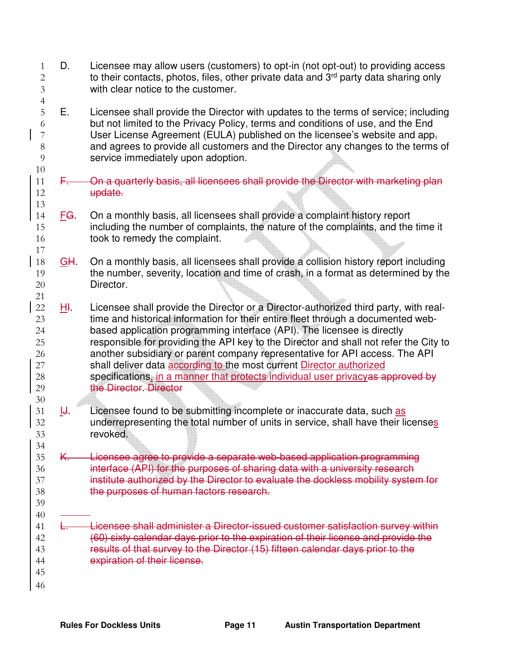| $\mathbf{1}$<br>$\overline{c}$<br>$\overline{3}$               | D.         | Licensee may allow users (customers) to opt-in (not opt-out) to providing access<br>to their contacts, photos, files, other private data and 3 <sup>rd</sup> party data sharing only<br>with clear notice to the customer.                                                                                                                                                                                                                                                                                                                                                                                       |
|----------------------------------------------------------------|------------|------------------------------------------------------------------------------------------------------------------------------------------------------------------------------------------------------------------------------------------------------------------------------------------------------------------------------------------------------------------------------------------------------------------------------------------------------------------------------------------------------------------------------------------------------------------------------------------------------------------|
| $\overline{4}$<br>5<br>6<br>7<br>$8\,$<br>$\overline{9}$<br>10 | Е.         | Licensee shall provide the Director with updates to the terms of service; including<br>but not limited to the Privacy Policy, terms and conditions of use, and the End<br>User License Agreement (EULA) published on the licensee's website and app-<br>and agrees to provide all customers and the Director any changes to the terms of<br>service immediately upon adoption.                                                                                                                                                                                                                                   |
| 11<br>12<br>13                                                 | F.,        | On a quarterly basis, all licensees shall provide the Director with marketing plan<br>update.                                                                                                                                                                                                                                                                                                                                                                                                                                                                                                                    |
| 14<br>15<br>16<br>17                                           | FG.        | On a monthly basis, all licensees shall provide a complaint history report<br>including the number of complaints, the nature of the complaints, and the time it<br>took to remedy the complaint.                                                                                                                                                                                                                                                                                                                                                                                                                 |
| 18<br>19<br>20<br>21                                           | <u>GH.</u> | On a monthly basis, all licensees shall provide a collision history report including<br>the number, severity, location and time of crash, in a format as determined by the<br>Director.                                                                                                                                                                                                                                                                                                                                                                                                                          |
| $22\,$<br>23<br>24<br>25<br>26<br>27<br>28<br>29<br>30         | <u>н</u> г | Licensee shall provide the Director or a Director-authorized third party, with real-<br>time and historical information for their entire fleet through a documented web-<br>based application programming interface (API). The licensee is directly<br>responsible for providing the API key to the Director and shall not refer the City to<br>another subsidiary or parent company representative for API access. The API<br>shall deliver data according to the most current Director authorized<br>specifications, in a manner that protects individual user privacyas approved by<br>the Director. Director |
| 31<br>32<br>33<br>34                                           | ĪĤ.        | Licensee found to be submitting incomplete or inaccurate data, such as<br>underrepresenting the total number of units in service, shall have their licenses<br>revoked.                                                                                                                                                                                                                                                                                                                                                                                                                                          |
| 35<br>36<br>37<br>38<br>39<br>40                               | K          | Licensee agree to provide a separate web-based application programming<br>interface (API) for the purposes of sharing data with a university research<br>institute authorized by the Director to evaluate the dockless mobility system for<br>the purposes of human factors research.                                                                                                                                                                                                                                                                                                                            |
| 41<br>42<br>43<br>44<br>45<br>46                               |            | Licensee shall administer a Director-issued customer satisfaction survey within<br>(60) sixty calendar days prior to the expiration of their license and provide the<br>results of that survey to the Director (15) fifteen calendar days prior to the<br>expiration of their license.                                                                                                                                                                                                                                                                                                                           |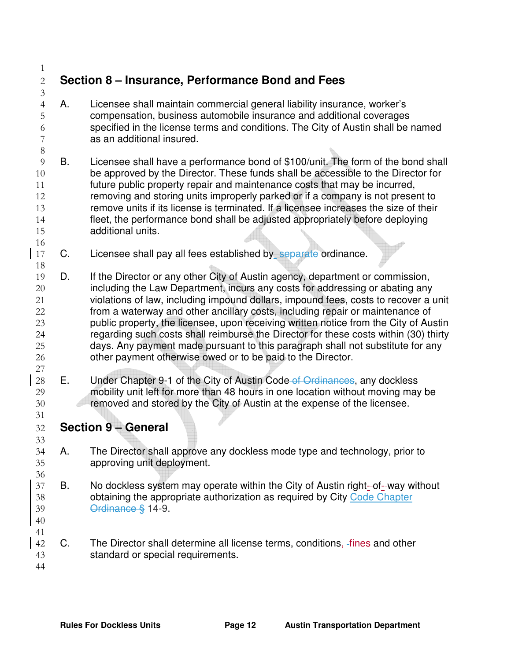## **Section 8 – Insurance, Performance Bond and Fees**

- A. Licensee shall maintain commercial general liability insurance, worker's compensation, business automobile insurance and additional coverages specified in the license terms and conditions. The City of Austin shall be named as an additional insured.
- B. Licensee shall have a performance bond of \$100/unit. The form of the bond shall be approved by the Director. These funds shall be accessible to the Director for future public property repair and maintenance costs that may be incurred, removing and storing units improperly parked or if a company is not present to remove units if its license is terminated. If a licensee increases the size of their fleet, the performance bond shall be adjusted appropriately before deploying additional units.
- 17 C. Licensee shall pay all fees established by separate ordinance.
- D. If the Director or any other City of Austin agency, department or commission, 20 including the Law Department, incurs any costs for addressing or abating any violations of law, including impound dollars, impound fees, costs to recover a unit from a waterway and other ancillary costs, including repair or maintenance of public property, the licensee, upon receiving written notice from the City of Austin regarding such costs shall reimburse the Director for these costs within (30) thirty days. Any payment made pursuant to this paragraph shall not substitute for any other payment otherwise owed or to be paid to the Director.
- 28 E. Under Chapter 9-1 of the City of Austin Code of Ordinances, any dockless mobility unit left for more than 48 hours in one location without moving may be removed and stored by the City of Austin at the expense of the licensee.
- **Section 9 General**
- A. The Director shall approve any dockless mode type and technology, prior to approving unit deployment.
- B. No dockless system may operate within the City of Austin right- of- way without obtaining the appropriate authorization as required by City Code Chapter Ordinance § 14-9.
- 

- 42 C. The Director shall determine all license terms, conditions, fines and other standard or special requirements.
-